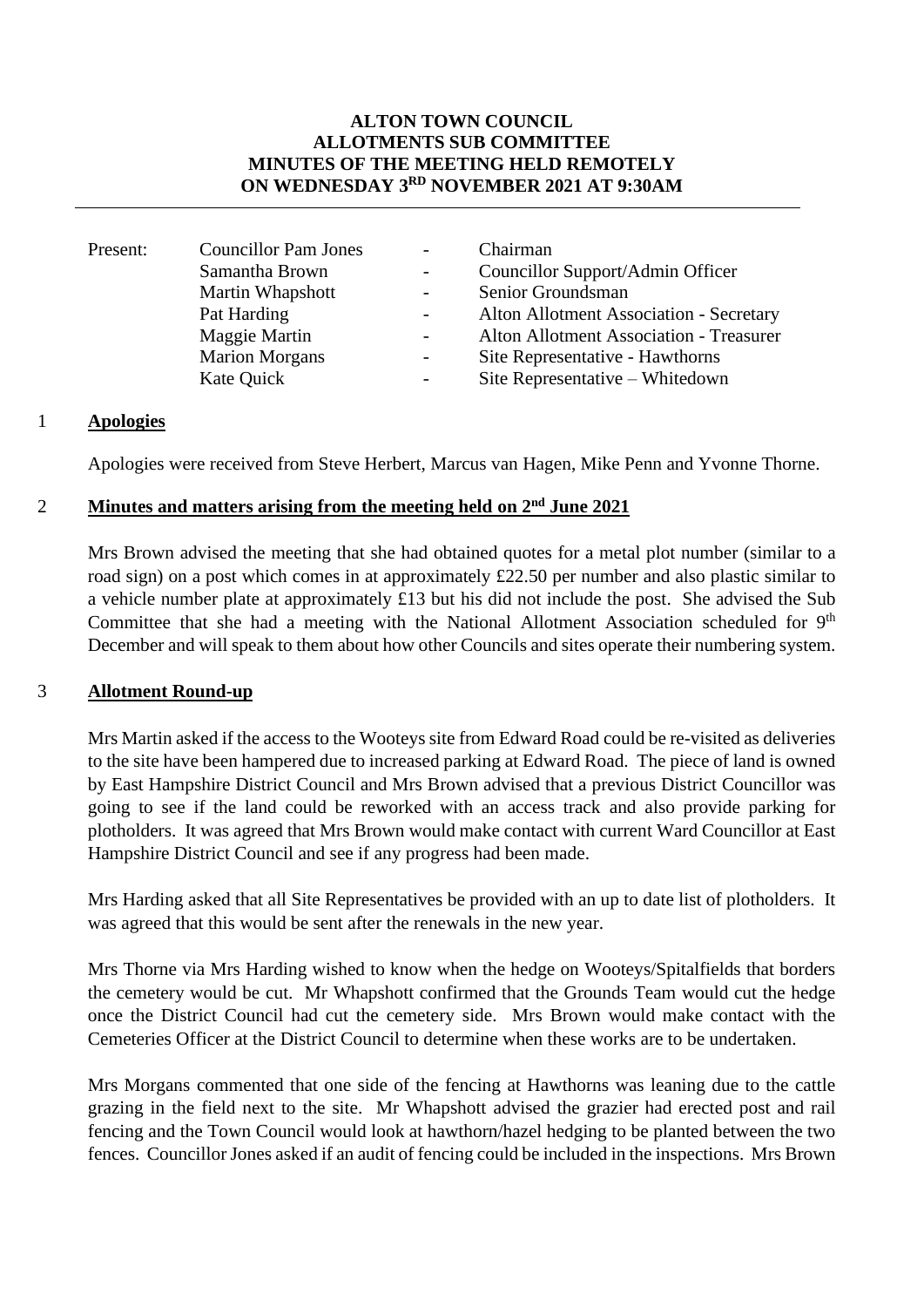# **ALTON TOWN COUNCIL ALLOTMENTS SUB COMMITTEE MINUTES OF THE MEETING HELD REMOTELY ON WEDNESDAY 3 RD NOVEMBER 2021 AT 9:30AM**

| Present: | <b>Councillor Pam Jones</b> | $\overline{\phantom{0}}$ | Chairman                                |
|----------|-----------------------------|--------------------------|-----------------------------------------|
|          |                             |                          |                                         |
|          | Samantha Brown              |                          | Councillor Support/Admin Officer        |
|          | Martin Whapshott            |                          | Senior Groundsman                       |
|          | Pat Harding                 |                          | Alton Allotment Association - Secretary |
|          | Maggie Martin               |                          | Alton Allotment Association - Treasurer |
|          | <b>Marion Morgans</b>       |                          | Site Representative - Hawthorns         |
|          | Kate Quick                  | -                        | Site Representative - Whitedown         |
|          |                             |                          |                                         |

# 1 **Apologies**

Apologies were received from Steve Herbert, Marcus van Hagen, Mike Penn and Yvonne Thorne.

# 2 **Minutes and matters arising from the meeting held on 2<sup>nd</sup> June 2021**

Mrs Brown advised the meeting that she had obtained quotes for a metal plot number (similar to a road sign) on a post which comes in at approximately £22.50 per number and also plastic similar to a vehicle number plate at approximately £13 but his did not include the post. She advised the Sub Committee that she had a meeting with the National Allotment Association scheduled for 9<sup>th</sup> December and will speak to them about how other Councils and sites operate their numbering system.

#### 3 **Allotment Round-up**

Mrs Martin asked if the access to the Wooteys site from Edward Road could be re-visited as deliveries to the site have been hampered due to increased parking at Edward Road. The piece of land is owned by East Hampshire District Council and Mrs Brown advised that a previous District Councillor was going to see if the land could be reworked with an access track and also provide parking for plotholders. It was agreed that Mrs Brown would make contact with current Ward Councillor at East Hampshire District Council and see if any progress had been made.

Mrs Harding asked that all Site Representatives be provided with an up to date list of plotholders. It was agreed that this would be sent after the renewals in the new year.

Mrs Thorne via Mrs Harding wished to know when the hedge on Wooteys/Spitalfields that borders the cemetery would be cut. Mr Whapshott confirmed that the Grounds Team would cut the hedge once the District Council had cut the cemetery side. Mrs Brown would make contact with the Cemeteries Officer at the District Council to determine when these works are to be undertaken.

Mrs Morgans commented that one side of the fencing at Hawthorns was leaning due to the cattle grazing in the field next to the site. Mr Whapshott advised the grazier had erected post and rail fencing and the Town Council would look at hawthorn/hazel hedging to be planted between the two fences. Councillor Jones asked if an audit of fencing could be included in the inspections. Mrs Brown